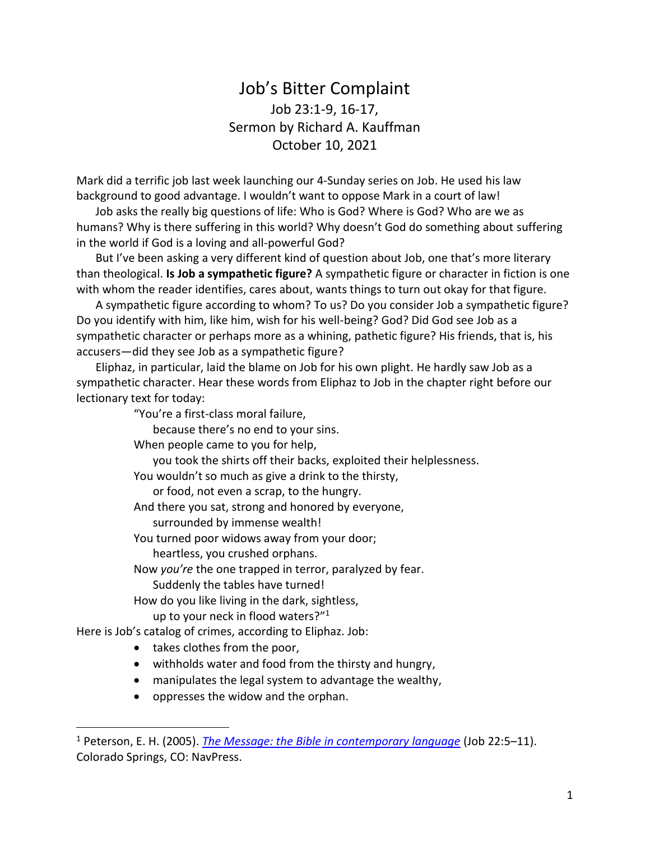## Job's Bitter Complaint Job 23:1-9, 16-17, Sermon by Richard A. Kauffman October 10, 2021

Mark did a terrific job last week launching our 4-Sunday series on Job. He used his law background to good advantage. I wouldn't want to oppose Mark in a court of law!

Job asks the really big questions of life: Who is God? Where is God? Who are we as humans? Why is there suffering in this world? Why doesn't God do something about suffering in the world if God is a loving and all-powerful God?

But I've been asking a very different kind of question about Job, one that's more literary than theological. **Is Job a sympathetic figure?** A sympathetic figure or character in fiction is one with whom the reader identifies, cares about, wants things to turn out okay for that figure.

A sympathetic figure according to whom? To us? Do you consider Job a sympathetic figure? Do you identify with him, like him, wish for his well-being? God? Did God see Job as a sympathetic character or perhaps more as a whining, pathetic figure? His friends, that is, his accusers—did they see Job as a sympathetic figure?

Eliphaz, in particular, laid the blame on Job for his own plight. He hardly saw Job as a sympathetic character. Hear these words from Eliphaz to Job in the chapter right before our lectionary text for today:

"You're a first-class moral failure,

because there's no end to your sins.

When people came to you for help,

you took the shirts off their backs, exploited their helplessness.

You wouldn't so much as give a drink to the thirsty,

or food, not even a scrap, to the hungry.

And there you sat, strong and honored by everyone,

surrounded by immense wealth!

You turned poor widows away from your door;

heartless, you crushed orphans.

Now *you're* the one trapped in terror, paralyzed by fear.

Suddenly the tables have turned!

How do you like living in the dark, sightless,

up to your neck in flood waters?" 1

Here is Job's catalog of crimes, according to Eliphaz. Job:

• takes clothes from the poor,

- withholds water and food from the thirsty and hungry,
- manipulates the legal system to advantage the wealthy,
- oppresses the widow and the orphan.

<sup>1</sup> Peterson, E. H. (2005). *[The Message: the Bible in contemporary language](https://ref.ly/logosres/message?ref=Bible.Job22.5&off=21&ctx=ardly!+It%E2%80%99s+because+~you%E2%80%99re+a+first-class)* (Job 22:5–11). Colorado Springs, CO: NavPress.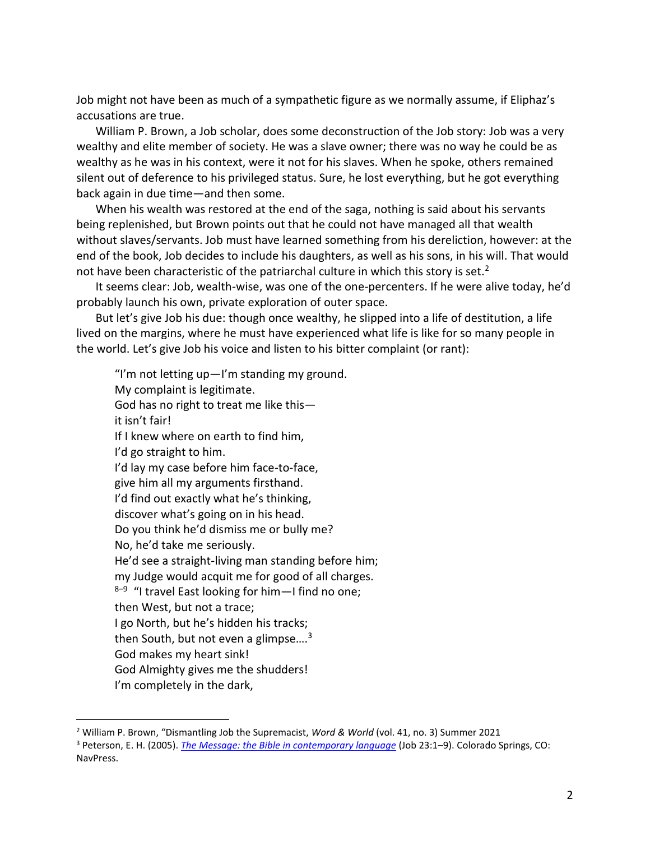Job might not have been as much of a sympathetic figure as we normally assume, if Eliphaz's accusations are true.

William P. Brown, a Job scholar, does some deconstruction of the Job story: Job was a very wealthy and elite member of society. He was a slave owner; there was no way he could be as wealthy as he was in his context, were it not for his slaves. When he spoke, others remained silent out of deference to his privileged status. Sure, he lost everything, but he got everything back again in due time—and then some.

When his wealth was restored at the end of the saga, nothing is said about his servants being replenished, but Brown points out that he could not have managed all that wealth without slaves/servants. Job must have learned something from his dereliction, however: at the end of the book, Job decides to include his daughters, as well as his sons, in his will. That would not have been characteristic of the patriarchal culture in which this story is set.<sup>2</sup>

It seems clear: Job, wealth-wise, was one of the one-percenters. If he were alive today, he'd probably launch his own, private exploration of outer space.

But let's give Job his due: though once wealthy, he slipped into a life of destitution, a life lived on the margins, where he must have experienced what life is like for so many people in the world. Let's give Job his voice and listen to his bitter complaint (or rant):

"I'm not letting up—I'm standing my ground. My complaint is legitimate. God has no right to treat me like this it isn't fair! If I knew where on earth to find him, I'd go straight to him. I'd lay my case before him face-to-face, give him all my arguments firsthand. I'd find out exactly what he's thinking, discover what's going on in his head. Do you think he'd dismiss me or bully me? No, he'd take me seriously. He'd see a straight-living man standing before him; my Judge would acquit me for good of all charges. 8<sup>-9</sup> "I travel East looking for him—I find no one; then West, but not a trace; I go North, but he's hidden his tracks; then South, but not even a glimpse.... $3$ God makes my heart sink! God Almighty gives me the shudders! I'm completely in the dark,

<sup>2</sup> William P. Brown, "Dismantling Job the Supremacist, *Word & World* (vol. 41, no. 3) Summer 2021

<sup>3</sup> Peterson, E. H. (2005). *[The Message: the Bible in contemporary language](https://ref.ly/logosres/message?ref=Bible.Job23.1&off=21&ctx=%E2%80%937%C2%A0+23%C2%A0Job+replied:%0a~+%E2%80%9CI%E2%80%99m+not+letting+up)* (Job 23:1–9). Colorado Springs, CO: NavPress.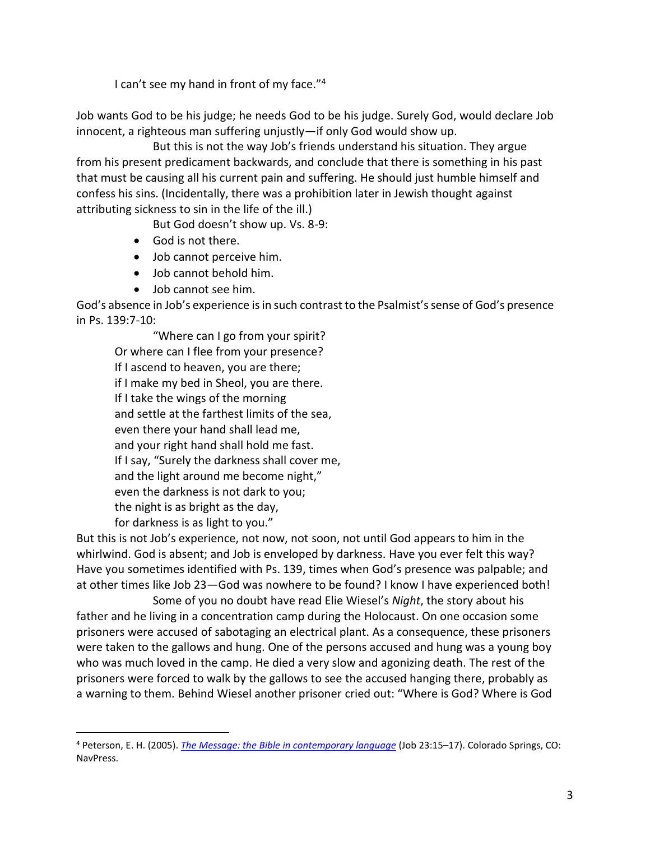I can't see my hand in front of my face."<sup>4</sup>

Job wants God to be his judge; he needs God to be his judge. Surely God, would declare Job innocent, a righteous man suffering unjustly—if only God would show up.

But this is not the way Job's friends understand his situation. They argue from his present predicament backwards, and conclude that there is something in his past that must be causing all his current pain and suffering. He should just humble himself and confess his sins. (Incidentally, there was a prohibition later in Jewish thought against attributing sickness to sin in the life of the ill.)

But God doesn't show up. Vs. 8-9:

- God is not there.
- Job cannot perceive him.
- Job cannot behold him.
- Job cannot see him.

 $\overline{a}$ 

God's absence in Job's experience is in such contrast to the Psalmist's sense of God's presence in Ps. 139:7-10:

"Where can I go from your spirit? Or where can I flee from your presence? If I ascend to heaven, you are there; if I make my bed in Sheol, you are there. If I take the wings of the morning and settle at the farthest limits of the sea, even there your hand shall lead me, and your right hand shall hold me fast. If I say, "Surely the darkness shall cover me, and the light around me become night," even the darkness is not dark to you; the night is as bright as the day, for darkness is as light to you."

But this is not Job's experience, not now, not soon, not until God appears to him in the whirlwind. God is absent; and Job is enveloped by darkness. Have you ever felt this way? Have you sometimes identified with Ps. 139, times when God's presence was palpable; and at other times like Job 23—God was nowhere to be found? I know I have experienced both!

Some of you no doubt have read Elie Wiesel's *Night*, the story about his father and he living in a concentration camp during the Holocaust. On one occasion some prisoners were accused of sabotaging an electrical plant. As a consequence, these prisoners were taken to the gallows and hung. One of the persons accused and hung was a young boy who was much loved in the camp. He died a very slow and agonizing death. The rest of the prisoners were forced to walk by the gallows to see the accused hanging there, probably as a warning to them. Behind Wiesel another prisoner cried out: "Where is God? Where is God

<sup>4</sup> Peterson, E. H. (2005). *[The Message: the Bible in contemporary language](https://ref.ly/logosres/message?ref=Bible.Job23.15&off=100&ctx=red+all+over+again.%0a~+God+makes+my+heart+)* (Job 23:15–17). Colorado Springs, CO: NavPress.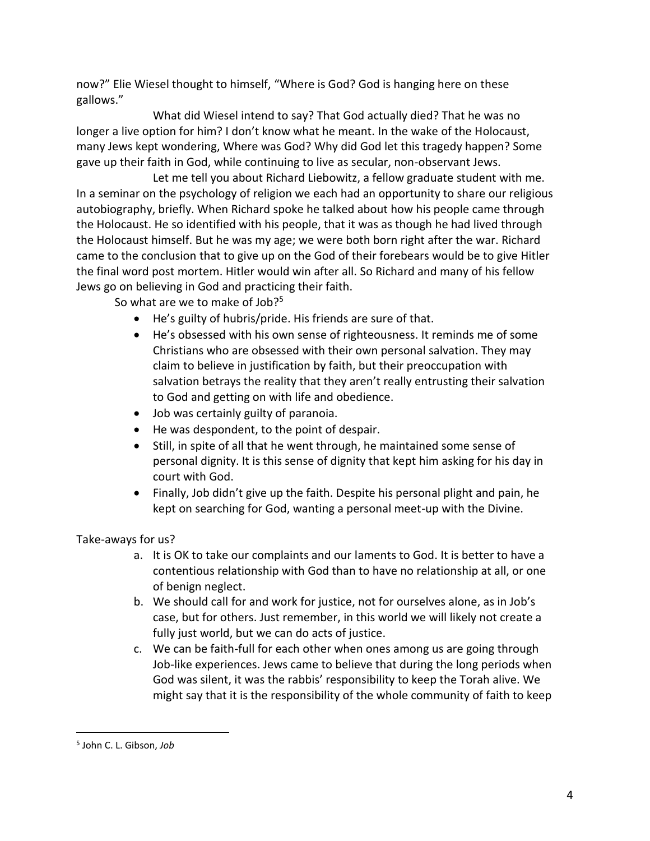now?" Elie Wiesel thought to himself, "Where is God? God is hanging here on these gallows."

What did Wiesel intend to say? That God actually died? That he was no longer a live option for him? I don't know what he meant. In the wake of the Holocaust, many Jews kept wondering, Where was God? Why did God let this tragedy happen? Some gave up their faith in God, while continuing to live as secular, non-observant Jews.

Let me tell you about Richard Liebowitz, a fellow graduate student with me. In a seminar on the psychology of religion we each had an opportunity to share our religious autobiography, briefly. When Richard spoke he talked about how his people came through the Holocaust. He so identified with his people, that it was as though he had lived through the Holocaust himself. But he was my age; we were both born right after the war. Richard came to the conclusion that to give up on the God of their forebears would be to give Hitler the final word post mortem. Hitler would win after all. So Richard and many of his fellow Jews go on believing in God and practicing their faith.

So what are we to make of Job?<sup>5</sup>

- He's guilty of hubris/pride. His friends are sure of that.
- He's obsessed with his own sense of righteousness. It reminds me of some Christians who are obsessed with their own personal salvation. They may claim to believe in justification by faith, but their preoccupation with salvation betrays the reality that they aren't really entrusting their salvation to God and getting on with life and obedience.
- Job was certainly guilty of paranoia.
- He was despondent, to the point of despair.
- Still, in spite of all that he went through, he maintained some sense of personal dignity. It is this sense of dignity that kept him asking for his day in court with God.
- Finally, Job didn't give up the faith. Despite his personal plight and pain, he kept on searching for God, wanting a personal meet-up with the Divine.

Take-aways for us?

- a. It is OK to take our complaints and our laments to God. It is better to have a contentious relationship with God than to have no relationship at all, or one of benign neglect.
- b. We should call for and work for justice, not for ourselves alone, as in Job's case, but for others. Just remember, in this world we will likely not create a fully just world, but we can do acts of justice.
- c. We can be faith-full for each other when ones among us are going through Job-like experiences. Jews came to believe that during the long periods when God was silent, it was the rabbis' responsibility to keep the Torah alive. We might say that it is the responsibility of the whole community of faith to keep

<sup>5</sup> John C. L. Gibson, *Job*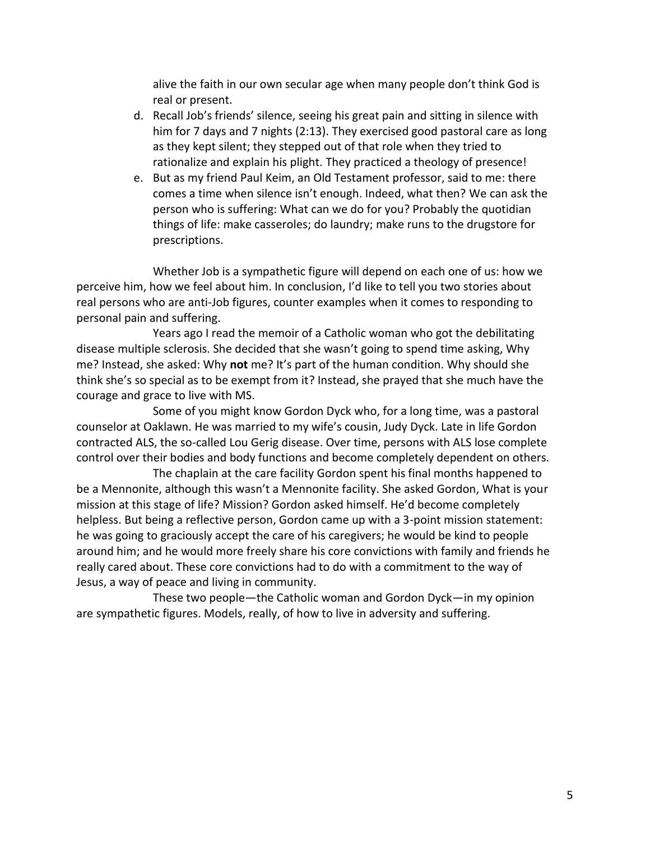alive the faith in our own secular age when many people don't think God is real or present.

- d. Recall Job's friends' silence, seeing his great pain and sitting in silence with him for 7 days and 7 nights (2:13). They exercised good pastoral care as long as they kept silent; they stepped out of that role when they tried to rationalize and explain his plight. They practiced a theology of presence!
- e. But as my friend Paul Keim, an Old Testament professor, said to me: there comes a time when silence isn't enough. Indeed, what then? We can ask the person who is suffering: What can we do for you? Probably the quotidian things of life: make casseroles; do laundry; make runs to the drugstore for prescriptions.

Whether Job is a sympathetic figure will depend on each one of us: how we perceive him, how we feel about him. In conclusion, I'd like to tell you two stories about real persons who are anti-Job figures, counter examples when it comes to responding to personal pain and suffering.

Years ago I read the memoir of a Catholic woman who got the debilitating disease multiple sclerosis. She decided that she wasn't going to spend time asking, Why me? Instead, she asked: Why **not** me? It's part of the human condition. Why should she think she's so special as to be exempt from it? Instead, she prayed that she much have the courage and grace to live with MS.

Some of you might know Gordon Dyck who, for a long time, was a pastoral counselor at Oaklawn. He was married to my wife's cousin, Judy Dyck. Late in life Gordon contracted ALS, the so-called Lou Gerig disease. Over time, persons with ALS lose complete control over their bodies and body functions and become completely dependent on others.

The chaplain at the care facility Gordon spent his final months happened to be a Mennonite, although this wasn't a Mennonite facility. She asked Gordon, What is your mission at this stage of life? Mission? Gordon asked himself. He'd become completely helpless. But being a reflective person, Gordon came up with a 3-point mission statement: he was going to graciously accept the care of his caregivers; he would be kind to people around him; and he would more freely share his core convictions with family and friends he really cared about. These core convictions had to do with a commitment to the way of Jesus, a way of peace and living in community.

These two people—the Catholic woman and Gordon Dyck—in my opinion are sympathetic figures. Models, really, of how to live in adversity and suffering.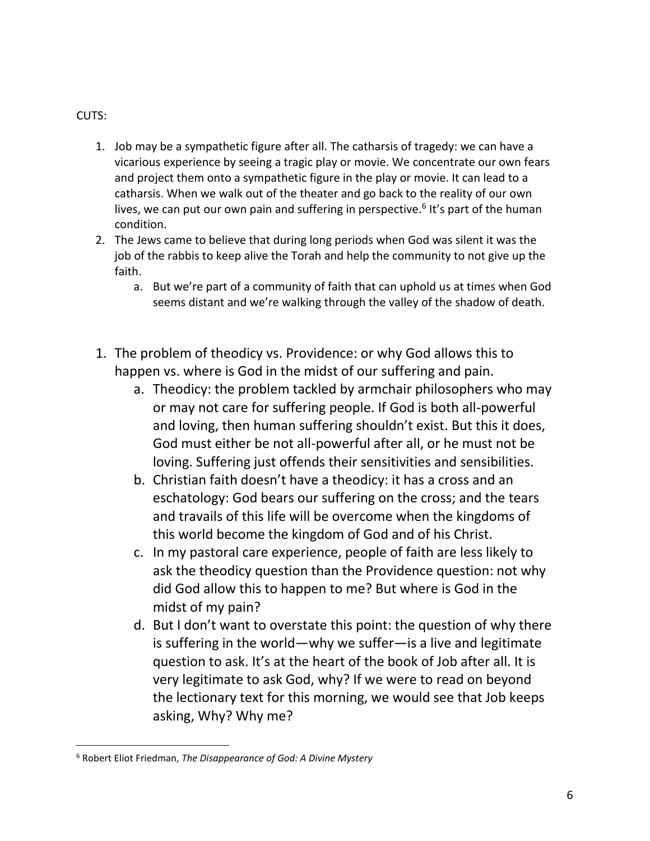## CUTS:

- 1. Job may be a sympathetic figure after all. The catharsis of tragedy: we can have a vicarious experience by seeing a tragic play or movie. We concentrate our own fears and project them onto a sympathetic figure in the play or movie. It can lead to a catharsis. When we walk out of the theater and go back to the reality of our own lives, we can put our own pain and suffering in perspective.<sup>6</sup> It's part of the human condition.
- 2. The Jews came to believe that during long periods when God was silent it was the job of the rabbis to keep alive the Torah and help the community to not give up the faith.
	- a. But we're part of a community of faith that can uphold us at times when God seems distant and we're walking through the valley of the shadow of death.
- 1. The problem of theodicy vs. Providence: or why God allows this to happen vs. where is God in the midst of our suffering and pain.
	- a. Theodicy: the problem tackled by armchair philosophers who may or may not care for suffering people. If God is both all-powerful and loving, then human suffering shouldn't exist. But this it does, God must either be not all-powerful after all, or he must not be loving. Suffering just offends their sensitivities and sensibilities.
	- b. Christian faith doesn't have a theodicy: it has a cross and an eschatology: God bears our suffering on the cross; and the tears and travails of this life will be overcome when the kingdoms of this world become the kingdom of God and of his Christ.
	- c. In my pastoral care experience, people of faith are less likely to ask the theodicy question than the Providence question: not why did God allow this to happen to me? But where is God in the midst of my pain?
	- d. But I don't want to overstate this point: the question of why there is suffering in the world—why we suffer—is a live and legitimate question to ask. It's at the heart of the book of Job after all. It is very legitimate to ask God, why? If we were to read on beyond the lectionary text for this morning, we would see that Job keeps asking, Why? Why me?

<sup>6</sup> Robert Eliot Friedman, *The Disappearance of God: A Divine Mystery*